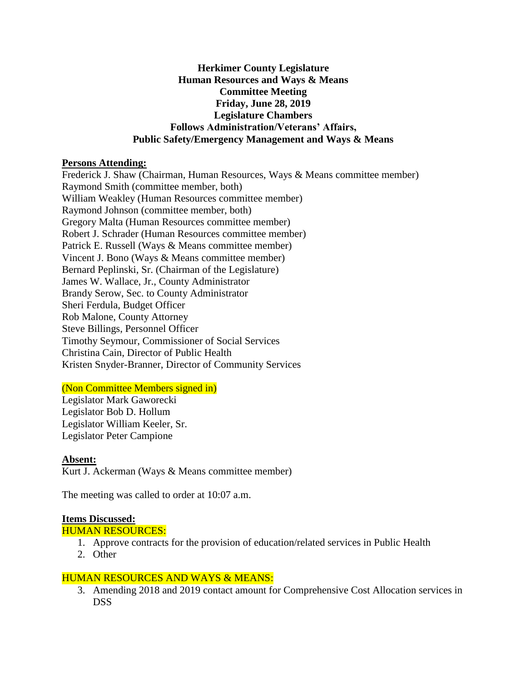## **Herkimer County Legislature Human Resources and Ways & Means Committee Meeting Friday, June 28, 2019 Legislature Chambers Follows Administration/Veterans' Affairs, Public Safety/Emergency Management and Ways & Means**

### **Persons Attending:**

Frederick J. Shaw (Chairman, Human Resources, Ways & Means committee member) Raymond Smith (committee member, both) William Weakley (Human Resources committee member) Raymond Johnson (committee member, both) Gregory Malta (Human Resources committee member) Robert J. Schrader (Human Resources committee member) Patrick E. Russell (Ways & Means committee member) Vincent J. Bono (Ways & Means committee member) Bernard Peplinski, Sr. (Chairman of the Legislature) James W. Wallace, Jr., County Administrator Brandy Serow, Sec. to County Administrator Sheri Ferdula, Budget Officer Rob Malone, County Attorney Steve Billings, Personnel Officer Timothy Seymour, Commissioner of Social Services Christina Cain, Director of Public Health Kristen Snyder-Branner, Director of Community Services

## (Non Committee Members signed in)

Legislator Mark Gaworecki Legislator Bob D. Hollum Legislator William Keeler, Sr. Legislator Peter Campione

#### **Absent:** Kurt J. Ackerman (Ways & Means committee member)

The meeting was called to order at 10:07 a.m.

## **Items Discussed:**

HUMAN RESOURCES:

- 1. Approve contracts for the provision of education/related services in Public Health
- 2. Other

# HUMAN RESOURCES AND WAYS & MEANS:

3. Amending 2018 and 2019 contact amount for Comprehensive Cost Allocation services in DSS